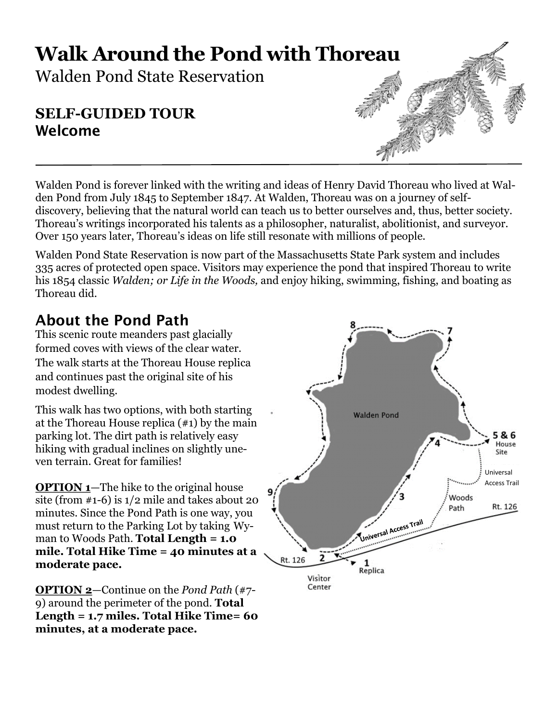# **Walk Around the Pond with Thoreau**

Walden Pond State Reservation

# **SELF-GUIDED TOUR** Welcome

Walden Pond is forever linked with the writing and ideas of Henry David Thoreau who lived at Walden Pond from July 1845 to September 1847. At Walden, Thoreau was on a journey of selfdiscovery, believing that the natural world can teach us to better ourselves and, thus, better society. Thoreau's writings incorporated his talents as a philosopher, naturalist, abolitionist, and surveyor. Over 150 years later, Thoreau's ideas on life still resonate with millions of people.

Walden Pond State Reservation is now part of the Massachusetts State Park system and includes 335 acres of protected open space. Visitors may experience the pond that inspired Thoreau to write his 1854 classic *Walden; or Life in the Woods,* and enjoy hiking, swimming, fishing, and boating as Thoreau did.

# About the Pond Path

This scenic route meanders past glacially formed coves with views of the clear water. The walk starts at the Thoreau House replica and continues past the original site of his modest dwelling.

This walk has two options, with both starting at the Thoreau House replica (#1) by the main parking lot. The dirt path is relatively easy hiking with gradual inclines on slightly uneven terrain. Great for families!

**OPTION 1**—The hike to the original house site (from #1-6) is 1/2 mile and takes about 20 minutes. Since the Pond Path is one way, you must return to the Parking Lot by taking Wyman to Woods Path. **Total Length = 1.0 mile. Total Hike Time = 40 minutes at a moderate pace.**

**OPTION 2**—Continue on the *Pond Path* (#7- 9) around the perimeter of the pond. **Total Length = 1.7 miles. Total Hike Time= 60 minutes, at a moderate pace.**

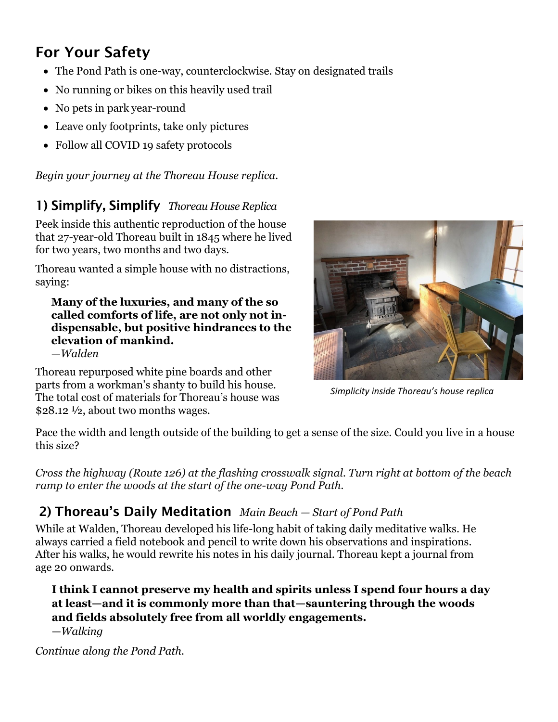# For Your Safety

- The Pond Path is one-way, counterclockwise. Stay on designated trails
- No running or bikes on this heavily used trail
- No pets in park year-round
- Leave only footprints, take only pictures
- Follow all COVID 19 safety protocols

*Begin your journey at the Thoreau House replica.*

## 1) Simplify, Simplify *Thoreau House Replica*

Peek inside this authentic reproduction of the house that 27-year-old Thoreau built in 1845 where he lived for two years, two months and two days.

Thoreau wanted a simple house with no distractions, saying:

#### **Many of the luxuries, and many of the so called comforts of life, are not only not indispensable, but positive hindrances to the elevation of mankind.**

*—Walden*

Thoreau repurposed white pine boards and other parts from a workman's shanty to build his house. The total cost of materials for Thoreau's house was \$28.12 ½, about two months wages.



*Simplicity inside Thoreau's house replica*

Pace the width and length outside of the building to get a sense of the size. Could you live in a house this size?

*Cross the highway (Route 126) at the flashing crosswalk signal. Turn right at bottom of the beach ramp to enter the woods at the start of the one-way Pond Path.*

# 2) Thoreau's Daily Meditation *Main Beach — Start of Pond Path*

While at Walden, Thoreau developed his life-long habit of taking daily meditative walks. He always carried a field notebook and pencil to write down his observations and inspirations. After his walks, he would rewrite his notes in his daily journal. Thoreau kept a journal from age 20 onwards.

## **I think I cannot preserve my health and spirits unless I spend four hours a day at least—and it is commonly more than that—sauntering through the woods and fields absolutely free from all worldly engagements.**

—*Walking*

*Continue along the Pond Path.*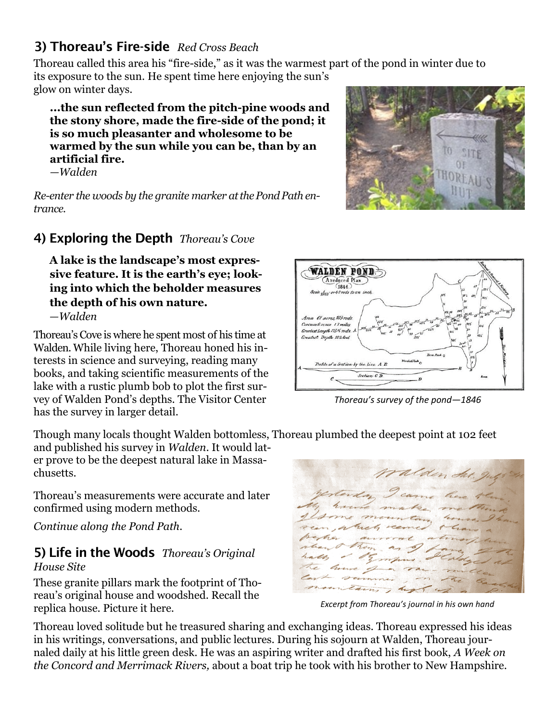# 3) Thoreau's Fire-side *Red Cross Beach*

Thoreau called this area his "fire-side," as it was the warmest part of the pond in winter due to its exposure to the sun. He spent time here enjoying the sun's

glow on winter days.

**...the sun reflected from the pitch-pine woods and the stony shore, made the fire-side of the pond; it is so much pleasanter and wholesome to be warmed by the sun while you can be, than by an artificial fire.**

*—Walden*

Re-enter the woods by the granite marker at the Pond Path en*trance.*

# 4) Exploring the Depth *Thoreau's Cove*

**A lake is the landscape's most expressive feature. It is the earth's eye; looking into which the beholder measures the depth of his own nature.** *—Walden*

Thoreau's Cove is where he spent most of his time at Walden. While living here, Thoreau honed his interests in science and surveying, reading many books, and taking scientific measurements of the lake with a rustic plumb bob to plot the first survey of Walden Pond's depths. The Visitor Center has the survey in larger detail.

Though many locals thought Walden bottomless, Thoreau plumbed the deepest point at 102 feet

and published his survey in *Walden*. It would later prove to be the deepest natural lake in Massachusetts.

Thoreau's measurements were accurate and later confirmed using modern methods.

*Continue along the Pond Path.*

#### 5) Life in the Woods *Thoreau's Original House Site*

These granite pillars mark the footprint of Thoreau's original house and woodshed. Recall the replica house. Picture it here.

Thoreau loved solitude but he treasured sharing and exchanging ideas. Thoreau expressed his ideas in his writings, conversations, and public lectures. During his sojourn at Walden, Thoreau journaled daily at his little green desk. He was an aspiring writer and drafted his first book, *A Week on the Concord and Merrimack Rivers,* about a boat trip he took with his brother to New Hampshire.



ralden dar.



*Thoreau's survey of the pond—1846*

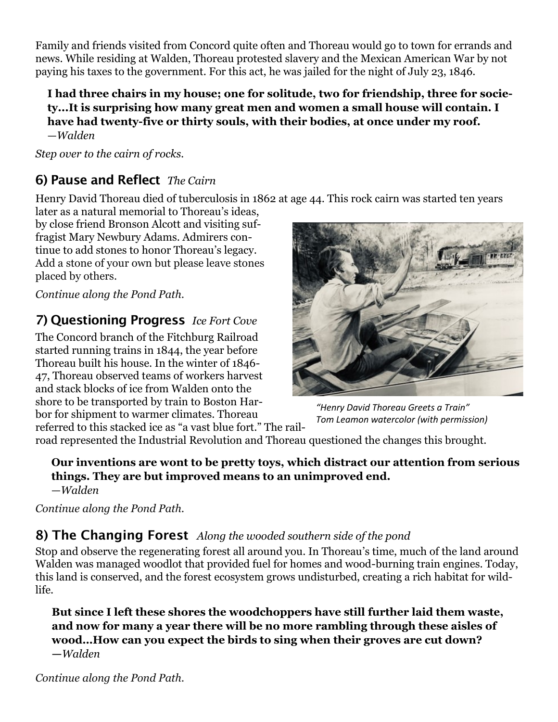Family and friends visited from Concord quite often and Thoreau would go to town for errands and news. While residing at Walden, Thoreau protested slavery and the Mexican American War by not paying his taxes to the government. For this act, he was jailed for the night of July 23, 1846.

#### **I had three chairs in my house; one for solitude, two for friendship, three for society...It is surprising how many great men and women a small house will contain. I have had twenty-five or thirty souls, with their bodies, at once under my roof.** —*Walden*

*Step over to the cairn of rocks.*

# 6) Pause and Reflect *The Cairn*

Henry David Thoreau died of tuberculosis in 1862 at age 44. This rock cairn was started ten years

later as a natural memorial to Thoreau's ideas, by close friend Bronson Alcott and visiting suffragist Mary Newbury Adams. Admirers continue to add stones to honor Thoreau's legacy. Add a stone of your own but please leave stones placed by others.

*Continue along the Pond Path.*

# 7) Questioning Progress *Ice Fort Cove*

The Concord branch of the Fitchburg Railroad started running trains in 1844, the year before Thoreau built his house. In the winter of 1846- 47, Thoreau observed teams of workers harvest and stack blocks of ice from Walden onto the shore to be transported by train to Boston Harbor for shipment to warmer climates. Thoreau referred to this stacked ice as "a vast blue fort." The rail-



*"Henry David Thoreau Greets a Train" Tom Leamon watercolor (with permission)*

road represented the Industrial Revolution and Thoreau questioned the changes this brought.

#### **Our inventions are wont to be pretty toys, which distract our attention from serious things. They are but improved means to an unimproved end.** —*Walden*

*Continue along the Pond Path.*

# 8) The Changing Forest *Along the wooded southern side of the pond*

Stop and observe the regenerating forest all around you. In Thoreau's time, much of the land around Walden was managed woodlot that provided fuel for homes and wood-burning train engines. Today, this land is conserved, and the forest ecosystem grows undisturbed, creating a rich habitat for wildlife.

**But since I left these shores the woodchoppers have still further laid them waste, and now for many a year there will be no more rambling through these aisles of wood…How can you expect the birds to sing when their groves are cut down? —***Walden*

*Continue along the Pond Path.*